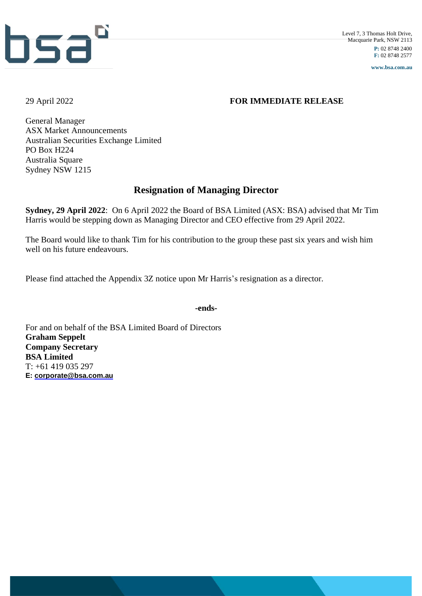

**www.bsa.com.au**

### 29 April 2022 **FOR IMMEDIATE RELEASE**

General Manager ASX Market Announcements Australian Securities Exchange Limited PO Box H224 Australia Square Sydney NSW 1215

## **Resignation of Managing Director**

**Sydney, 29 April 2022**: On 6 April 2022 the Board of BSA Limited (ASX: BSA) advised that Mr Tim Harris would be stepping down as Managing Director and CEO effective from 29 April 2022.

The Board would like to thank Tim for his contribution to the group these past six years and wish him well on his future endeavours.

Please find attached the Appendix 3Z notice upon Mr Harris's resignation as a director.

**-ends-**

For and on behalf of the BSA Limited Board of Directors **Graham Seppelt Company Secretary BSA Limited** T: +61 419 035 297 **E: [corporate@bsa.com.au](mailto:corporate@bsa.com.au)**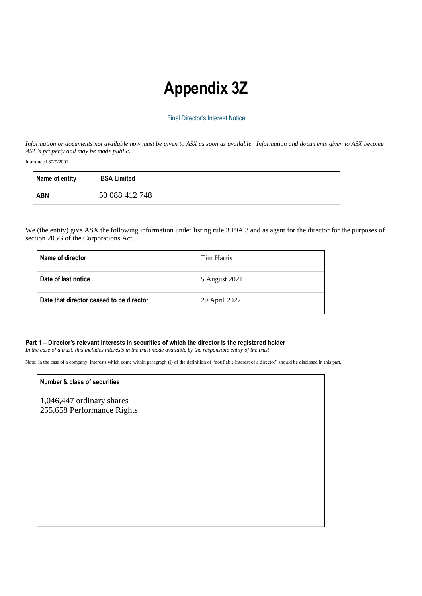# **Appendix 3Z**

#### Final Director's Interest Notice

Information or documents not available now must be given to ASX as soon as available. Information and documents given to ASX become *ASX's property and may be made public.*

Introduced 30/9/2001.

| Name of entity | <b>BSA Limited</b> |
|----------------|--------------------|
| ABN            | 50 088 412 748     |

We (the entity) give ASX the following information under listing rule 3.19A.3 and as agent for the director for the purposes of section 205G of the Corporations Act.

| Name of director                         | Tim Harris    |
|------------------------------------------|---------------|
| Date of last notice                      | 5 August 2021 |
| Date that director ceased to be director | 29 April 2022 |

#### **Part 1 – Director's relevant interests in securities of which the director is the registered holder**

In the case of a trust, this includes interests in the trust made available by the responsible entity of the trust

Note: In the case of a company, interests which come within paragraph (i) of the definition of "notifiable interest of a director" should be disclosed in this part.

#### **Number & class of securities**

1,046,447 ordinary shares 255,658 Performance Rights